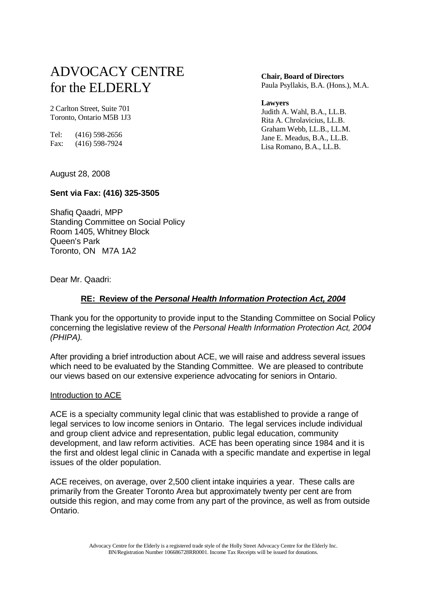# ADVOCACY CENTRE for the ELDERLY

2 Carlton Street, Suite 701 Toronto, Ontario M5B 1J3

Tel: (416) 598-2656 Fax: (416) 598-7924  **Chair, Board of Directors**

Paula Psyllakis, B.A. (Hons.), M.A.

 **Lawyers**

 Judith A. Wahl, B.A., LL.B. Rita A. Chrolavicius, LL.B. Graham Webb, LL.B., LL.M. Jane E. Meadus, B.A., LL.B. Lisa Romano, B.A., LL.B.

August 28, 2008

# **Sent via Fax: (416) 325-3505**

Shafiq Qaadri, MPP Standing Committee on Social Policy Room 1405, Whitney Block Queen's Park Toronto, ON M7A 1A2

Dear Mr. Qaadri:

# **RE: Review of the Personal Health Information Protection Act, 2004**

Thank you for the opportunity to provide input to the Standing Committee on Social Policy concerning the legislative review of the Personal Health Information Protection Act, 2004 (PHIPA).

After providing a brief introduction about ACE, we will raise and address several issues which need to be evaluated by the Standing Committee. We are pleased to contribute our views based on our extensive experience advocating for seniors in Ontario.

# Introduction to ACE

ACE is a specialty community legal clinic that was established to provide a range of legal services to low income seniors in Ontario. The legal services include individual and group client advice and representation, public legal education, community development, and law reform activities. ACE has been operating since 1984 and it is the first and oldest legal clinic in Canada with a specific mandate and expertise in legal issues of the older population.

ACE receives, on average, over 2,500 client intake inquiries a year. These calls are primarily from the Greater Toronto Area but approximately twenty per cent are from outside this region, and may come from any part of the province, as well as from outside Ontario.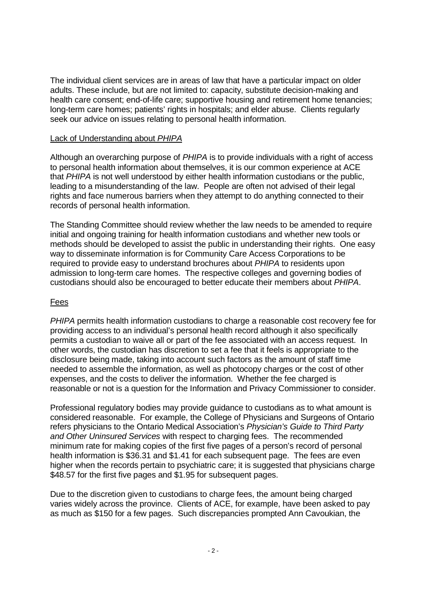The individual client services are in areas of law that have a particular impact on older adults. These include, but are not limited to: capacity, substitute decision-making and health care consent; end-of-life care; supportive housing and retirement home tenancies; long-term care homes; patients' rights in hospitals; and elder abuse. Clients regularly seek our advice on issues relating to personal health information.

# Lack of Understanding about PHIPA

Although an overarching purpose of PHIPA is to provide individuals with a right of access to personal health information about themselves, it is our common experience at ACE that PHIPA is not well understood by either health information custodians or the public, leading to a misunderstanding of the law. People are often not advised of their legal rights and face numerous barriers when they attempt to do anything connected to their records of personal health information.

The Standing Committee should review whether the law needs to be amended to require initial and ongoing training for health information custodians and whether new tools or methods should be developed to assist the public in understanding their rights. One easy way to disseminate information is for Community Care Access Corporations to be required to provide easy to understand brochures about PHIPA to residents upon admission to long-term care homes. The respective colleges and governing bodies of custodians should also be encouraged to better educate their members about PHIPA.

## Fees

PHIPA permits health information custodians to charge a reasonable cost recovery fee for providing access to an individual's personal health record although it also specifically permits a custodian to waive all or part of the fee associated with an access request. In other words, the custodian has discretion to set a fee that it feels is appropriate to the disclosure being made, taking into account such factors as the amount of staff time needed to assemble the information, as well as photocopy charges or the cost of other expenses, and the costs to deliver the information. Whether the fee charged is reasonable or not is a question for the Information and Privacy Commissioner to consider.

Professional regulatory bodies may provide guidance to custodians as to what amount is considered reasonable. For example, the College of Physicians and Surgeons of Ontario refers physicians to the Ontario Medical Association's Physician's Guide to Third Party and Other Uninsured Services with respect to charging fees. The recommended minimum rate for making copies of the first five pages of a person's record of personal health information is \$36.31 and \$1.41 for each subsequent page. The fees are even higher when the records pertain to psychiatric care; it is suggested that physicians charge \$48.57 for the first five pages and \$1.95 for subsequent pages.

Due to the discretion given to custodians to charge fees, the amount being charged varies widely across the province. Clients of ACE, for example, have been asked to pay as much as \$150 for a few pages. Such discrepancies prompted Ann Cavoukian, the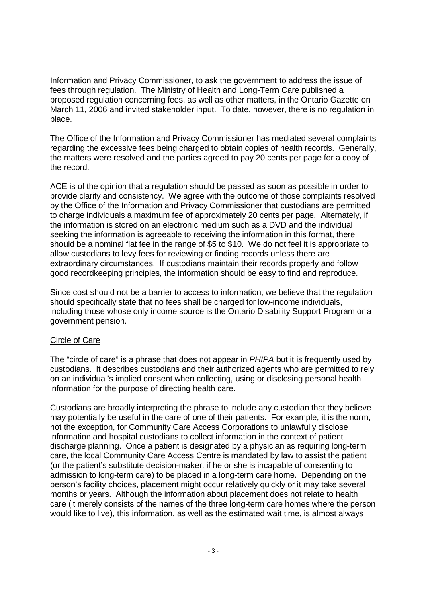Information and Privacy Commissioner, to ask the government to address the issue of fees through regulation. The Ministry of Health and Long-Term Care published a proposed regulation concerning fees, as well as other matters, in the Ontario Gazette on March 11, 2006 and invited stakeholder input. To date, however, there is no regulation in place.

The Office of the Information and Privacy Commissioner has mediated several complaints regarding the excessive fees being charged to obtain copies of health records. Generally, the matters were resolved and the parties agreed to pay 20 cents per page for a copy of the record.

ACE is of the opinion that a regulation should be passed as soon as possible in order to provide clarity and consistency. We agree with the outcome of those complaints resolved by the Office of the Information and Privacy Commissioner that custodians are permitted to charge individuals a maximum fee of approximately 20 cents per page. Alternately, if the information is stored on an electronic medium such as a DVD and the individual seeking the information is agreeable to receiving the information in this format, there should be a nominal flat fee in the range of \$5 to \$10. We do not feel it is appropriate to allow custodians to levy fees for reviewing or finding records unless there are extraordinary circumstances. If custodians maintain their records properly and follow good recordkeeping principles, the information should be easy to find and reproduce.

Since cost should not be a barrier to access to information, we believe that the regulation should specifically state that no fees shall be charged for low-income individuals, including those whose only income source is the Ontario Disability Support Program or a government pension.

#### Circle of Care

The "circle of care" is a phrase that does not appear in PHIPA but it is frequently used by custodians. It describes custodians and their authorized agents who are permitted to rely on an individual's implied consent when collecting, using or disclosing personal health information for the purpose of directing health care.

Custodians are broadly interpreting the phrase to include any custodian that they believe may potentially be useful in the care of one of their patients. For example, it is the norm, not the exception, for Community Care Access Corporations to unlawfully disclose information and hospital custodians to collect information in the context of patient discharge planning. Once a patient is designated by a physician as requiring long-term care, the local Community Care Access Centre is mandated by law to assist the patient (or the patient's substitute decision-maker, if he or she is incapable of consenting to admission to long-term care) to be placed in a long-term care home. Depending on the person's facility choices, placement might occur relatively quickly or it may take several months or years. Although the information about placement does not relate to health care (it merely consists of the names of the three long-term care homes where the person would like to live), this information, as well as the estimated wait time, is almost always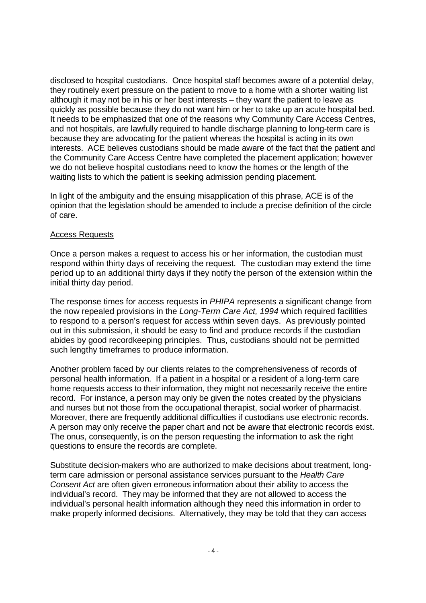disclosed to hospital custodians. Once hospital staff becomes aware of a potential delay, they routinely exert pressure on the patient to move to a home with a shorter waiting list although it may not be in his or her best interests – they want the patient to leave as quickly as possible because they do not want him or her to take up an acute hospital bed. It needs to be emphasized that one of the reasons why Community Care Access Centres, and not hospitals, are lawfully required to handle discharge planning to long-term care is because they are advocating for the patient whereas the hospital is acting in its own interests. ACE believes custodians should be made aware of the fact that the patient and the Community Care Access Centre have completed the placement application; however we do not believe hospital custodians need to know the homes or the length of the waiting lists to which the patient is seeking admission pending placement.

In light of the ambiguity and the ensuing misapplication of this phrase, ACE is of the opinion that the legislation should be amended to include a precise definition of the circle of care.

#### Access Requests

Once a person makes a request to access his or her information, the custodian must respond within thirty days of receiving the request. The custodian may extend the time period up to an additional thirty days if they notify the person of the extension within the initial thirty day period.

The response times for access requests in PHIPA represents a significant change from the now repealed provisions in the Long-Term Care Act, 1994 which required facilities to respond to a person's request for access within seven days. As previously pointed out in this submission, it should be easy to find and produce records if the custodian abides by good recordkeeping principles. Thus, custodians should not be permitted such lengthy timeframes to produce information.

Another problem faced by our clients relates to the comprehensiveness of records of personal health information. If a patient in a hospital or a resident of a long-term care home requests access to their information, they might not necessarily receive the entire record. For instance, a person may only be given the notes created by the physicians and nurses but not those from the occupational therapist, social worker of pharmacist. Moreover, there are frequently additional difficulties if custodians use electronic records. A person may only receive the paper chart and not be aware that electronic records exist. The onus, consequently, is on the person requesting the information to ask the right questions to ensure the records are complete.

Substitute decision-makers who are authorized to make decisions about treatment, longterm care admission or personal assistance services pursuant to the Health Care Consent Act are often given erroneous information about their ability to access the individual's record. They may be informed that they are not allowed to access the individual's personal health information although they need this information in order to make properly informed decisions. Alternatively, they may be told that they can access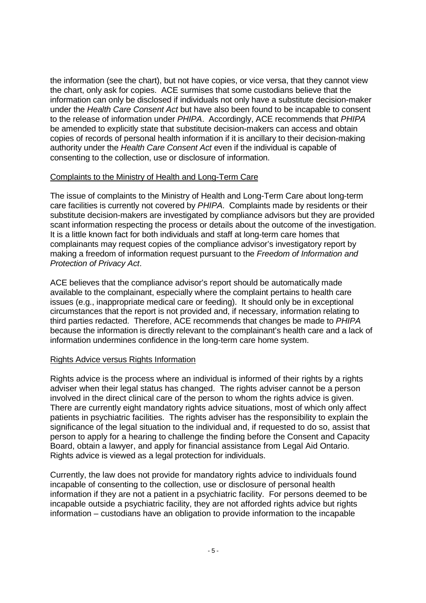the information (see the chart), but not have copies, or vice versa, that they cannot view the chart, only ask for copies. ACE surmises that some custodians believe that the information can only be disclosed if individuals not only have a substitute decision-maker under the Health Care Consent Act but have also been found to be incapable to consent to the release of information under PHIPA. Accordingly, ACE recommends that PHIPA be amended to explicitly state that substitute decision-makers can access and obtain copies of records of personal health information if it is ancillary to their decision-making authority under the Health Care Consent Act even if the individual is capable of consenting to the collection, use or disclosure of information.

#### Complaints to the Ministry of Health and Long-Term Care

The issue of complaints to the Ministry of Health and Long-Term Care about long-term care facilities is currently not covered by PHIPA. Complaints made by residents or their substitute decision-makers are investigated by compliance advisors but they are provided scant information respecting the process or details about the outcome of the investigation. It is a little known fact for both individuals and staff at long-term care homes that complainants may request copies of the compliance advisor's investigatory report by making a freedom of information request pursuant to the Freedom of Information and Protection of Privacy Act.

ACE believes that the compliance advisor's report should be automatically made available to the complainant, especially where the complaint pertains to health care issues (e.g., inappropriate medical care or feeding). It should only be in exceptional circumstances that the report is not provided and, if necessary, information relating to third parties redacted. Therefore, ACE recommends that changes be made to PHIPA because the information is directly relevant to the complainant's health care and a lack of information undermines confidence in the long-term care home system.

#### Rights Advice versus Rights Information

Rights advice is the process where an individual is informed of their rights by a rights adviser when their legal status has changed. The rights adviser cannot be a person involved in the direct clinical care of the person to whom the rights advice is given. There are currently eight mandatory rights advice situations, most of which only affect patients in psychiatric facilities. The rights adviser has the responsibility to explain the significance of the legal situation to the individual and, if requested to do so, assist that person to apply for a hearing to challenge the finding before the Consent and Capacity Board, obtain a lawyer, and apply for financial assistance from Legal Aid Ontario. Rights advice is viewed as a legal protection for individuals.

Currently, the law does not provide for mandatory rights advice to individuals found incapable of consenting to the collection, use or disclosure of personal health information if they are not a patient in a psychiatric facility. For persons deemed to be incapable outside a psychiatric facility, they are not afforded rights advice but rights information – custodians have an obligation to provide information to the incapable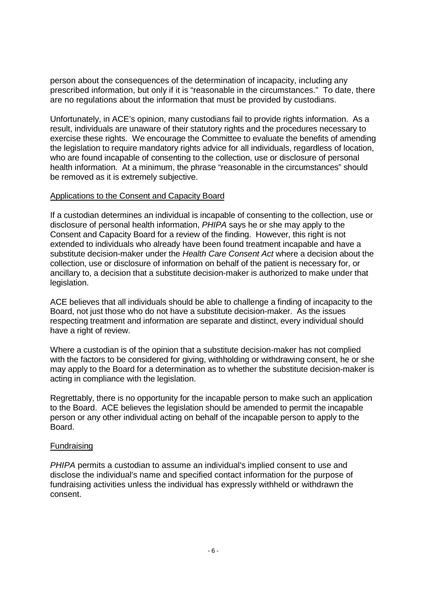person about the consequences of the determination of incapacity, including any prescribed information, but only if it is "reasonable in the circumstances." To date, there are no regulations about the information that must be provided by custodians.

Unfortunately, in ACE's opinion, many custodians fail to provide rights information. As a result, individuals are unaware of their statutory rights and the procedures necessary to exercise these rights. We encourage the Committee to evaluate the benefits of amending the legislation to require mandatory rights advice for all individuals, regardless of location, who are found incapable of consenting to the collection, use or disclosure of personal health information. At a minimum, the phrase "reasonable in the circumstances" should be removed as it is extremely subjective.

# Applications to the Consent and Capacity Board

If a custodian determines an individual is incapable of consenting to the collection, use or disclosure of personal health information, PHIPA says he or she may apply to the Consent and Capacity Board for a review of the finding. However, this right is not extended to individuals who already have been found treatment incapable and have a substitute decision-maker under the Health Care Consent Act where a decision about the collection, use or disclosure of information on behalf of the patient is necessary for, or ancillary to, a decision that a substitute decision-maker is authorized to make under that legislation.

ACE believes that all individuals should be able to challenge a finding of incapacity to the Board, not just those who do not have a substitute decision-maker. As the issues respecting treatment and information are separate and distinct, every individual should have a right of review.

Where a custodian is of the opinion that a substitute decision-maker has not complied with the factors to be considered for giving, withholding or withdrawing consent, he or she may apply to the Board for a determination as to whether the substitute decision-maker is acting in compliance with the legislation.

Regrettably, there is no opportunity for the incapable person to make such an application to the Board. ACE believes the legislation should be amended to permit the incapable person or any other individual acting on behalf of the incapable person to apply to the **Board** 

#### Fundraising

PHIPA permits a custodian to assume an individual's implied consent to use and disclose the individual's name and specified contact information for the purpose of fundraising activities unless the individual has expressly withheld or withdrawn the consent.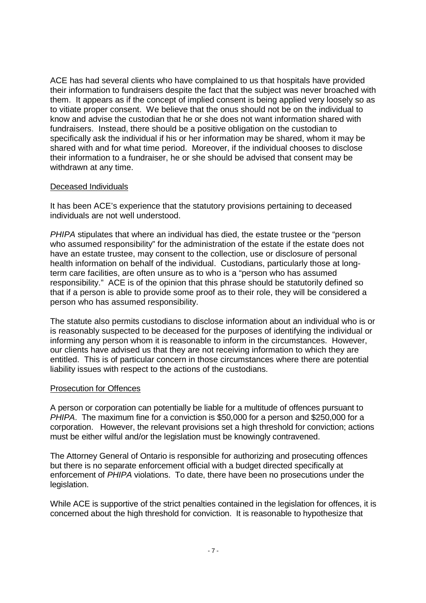ACE has had several clients who have complained to us that hospitals have provided their information to fundraisers despite the fact that the subject was never broached with them. It appears as if the concept of implied consent is being applied very loosely so as to vitiate proper consent. We believe that the onus should not be on the individual to know and advise the custodian that he or she does not want information shared with fundraisers. Instead, there should be a positive obligation on the custodian to specifically ask the individual if his or her information may be shared, whom it may be shared with and for what time period. Moreover, if the individual chooses to disclose their information to a fundraiser, he or she should be advised that consent may be withdrawn at any time.

# Deceased Individuals

It has been ACE's experience that the statutory provisions pertaining to deceased individuals are not well understood.

PHIPA stipulates that where an individual has died, the estate trustee or the "person who assumed responsibility" for the administration of the estate if the estate does not have an estate trustee, may consent to the collection, use or disclosure of personal health information on behalf of the individual. Custodians, particularly those at longterm care facilities, are often unsure as to who is a "person who has assumed responsibility." ACE is of the opinion that this phrase should be statutorily defined so that if a person is able to provide some proof as to their role, they will be considered a person who has assumed responsibility.

The statute also permits custodians to disclose information about an individual who is or is reasonably suspected to be deceased for the purposes of identifying the individual or informing any person whom it is reasonable to inform in the circumstances. However, our clients have advised us that they are not receiving information to which they are entitled. This is of particular concern in those circumstances where there are potential liability issues with respect to the actions of the custodians.

#### Prosecution for Offences

A person or corporation can potentially be liable for a multitude of offences pursuant to PHIPA. The maximum fine for a conviction is \$50,000 for a person and \$250,000 for a corporation. However, the relevant provisions set a high threshold for conviction; actions must be either wilful and/or the legislation must be knowingly contravened.

The Attorney General of Ontario is responsible for authorizing and prosecuting offences but there is no separate enforcement official with a budget directed specifically at enforcement of PHIPA violations. To date, there have been no prosecutions under the legislation.

While ACE is supportive of the strict penalties contained in the legislation for offences, it is concerned about the high threshold for conviction. It is reasonable to hypothesize that